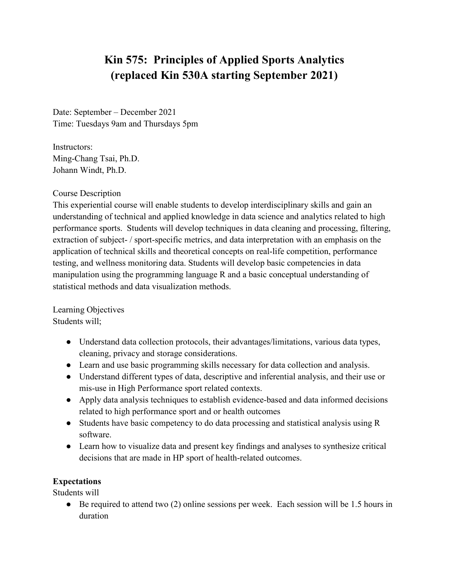# **Kin 575: Principles of Applied Sports Analytics (replaced Kin 530A starting September 2021)**

Date: September – December 2021 Time: Tuesdays 9am and Thursdays 5pm

Instructors: Ming-Chang Tsai, Ph.D. Johann Windt, Ph.D.

#### Course Description

This experiential course will enable students to develop interdisciplinary skills and gain an understanding of technical and applied knowledge in data science and analytics related to high performance sports. Students will develop techniques in data cleaning and processing, filtering, extraction of subject- / sport-specific metrics, and data interpretation with an emphasis on the application of technical skills and theoretical concepts on real-life competition, performance testing, and wellness monitoring data. Students will develop basic competencies in data manipulation using the programming language R and a basic conceptual understanding of statistical methods and data visualization methods.

Learning Objectives Students will;

- Understand data collection protocols, their advantages/limitations, various data types, cleaning, privacy and storage considerations.
- Learn and use basic programming skills necessary for data collection and analysis.
- Understand different types of data, descriptive and inferential analysis, and their use or mis-use in High Performance sport related contexts.
- Apply data analysis techniques to establish evidence-based and data informed decisions related to high performance sport and or health outcomes
- Students have basic competency to do data processing and statistical analysis using R software.
- Learn how to visualize data and present key findings and analyses to synthesize critical decisions that are made in HP sport of health-related outcomes.

### **Expectations**

Students will

 $\bullet$  Be required to attend two (2) online sessions per week. Each session will be 1.5 hours in duration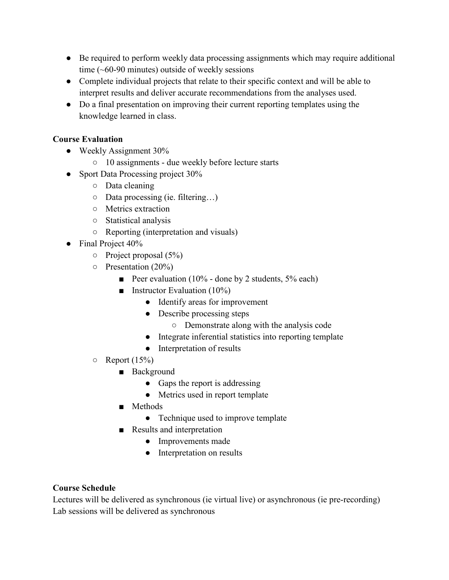- Be required to perform weekly data processing assignments which may require additional time  $(-60-90 \text{ minutes})$  outside of weekly sessions
- Complete individual projects that relate to their specific context and will be able to interpret results and deliver accurate recommendations from the analyses used.
- Do a final presentation on improving their current reporting templates using the knowledge learned in class.

## **Course Evaluation**

- Weekly Assignment 30%
	- 10 assignments due weekly before lecture starts
- Sport Data Processing project 30%
	- Data cleaning
	- Data processing (ie. filtering…)
	- Metrics extraction
	- Statistical analysis
	- Reporting (interpretation and visuals)
- Final Project 40%
	- $\circ$  Project proposal (5%)
	- Presentation (20%)
		- Peer evaluation (10% done by 2 students, 5% each)
		- **■** Instructor Evaluation  $(10\%)$ 
			- Identify areas for improvement
			- Describe processing steps
				- Demonstrate along with the analysis code
			- Integrate inferential statistics into reporting template
			- Interpretation of results
	- $\circ$  Report (15%)
		- Background
			- Gaps the report is addressing
			- Metrics used in report template
		- Methods
			- Technique used to improve template
		- Results and interpretation
			- Improvements made
			- Interpretation on results

## **Course Schedule**

Lectures will be delivered as synchronous (ie virtual live) or asynchronous (ie pre-recording) Lab sessions will be delivered as synchronous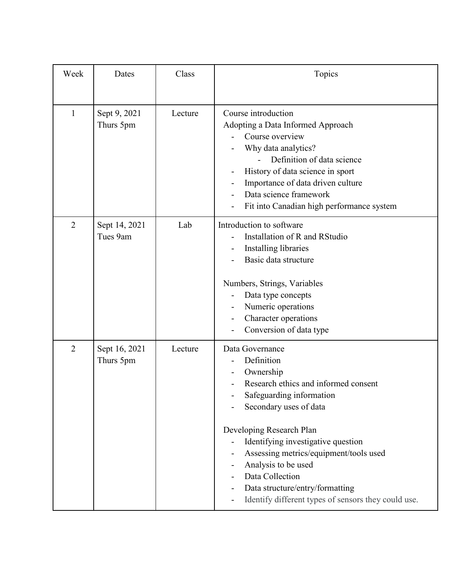| Week           | Dates                      | Class   | Topics                                                                                                                                                                                                                                                                                                                                                                                   |
|----------------|----------------------------|---------|------------------------------------------------------------------------------------------------------------------------------------------------------------------------------------------------------------------------------------------------------------------------------------------------------------------------------------------------------------------------------------------|
| $\mathbf{1}$   | Sept 9, 2021<br>Thurs 5pm  | Lecture | Course introduction<br>Adopting a Data Informed Approach<br>Course overview<br>Why data analytics?<br>Definition of data science<br>History of data science in sport<br>Importance of data driven culture<br>Data science framework<br>Fit into Canadian high performance system                                                                                                         |
| $\overline{2}$ | Sept 14, 2021<br>Tues 9am  | Lab     | Introduction to software<br>Installation of R and RStudio<br>Installing libraries<br>Basic data structure<br>Numbers, Strings, Variables<br>Data type concepts<br>Numeric operations<br>Character operations<br>Conversion of data type                                                                                                                                                  |
| $\overline{2}$ | Sept 16, 2021<br>Thurs 5pm | Lecture | Data Governance<br>Definition<br>Ownership<br>Research ethics and informed consent<br>Safeguarding information<br>Secondary uses of data<br>Developing Research Plan<br>Identifying investigative question<br>Assessing metrics/equipment/tools used<br>Analysis to be used<br>Data Collection<br>Data structure/entry/formatting<br>Identify different types of sensors they could use. |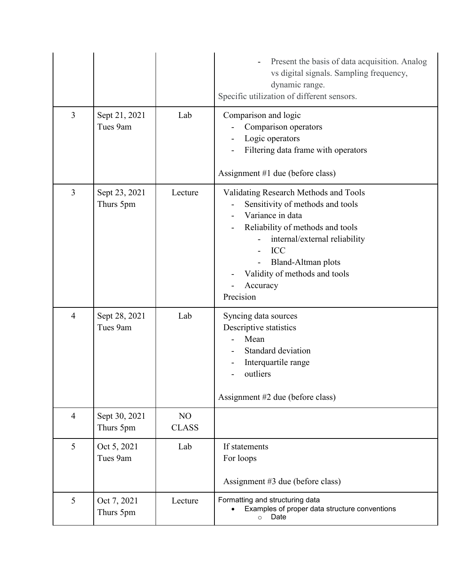|                |                            |                    | Present the basis of data acquisition. Analog<br>vs digital signals. Sampling frequency,<br>dynamic range.<br>Specific utilization of different sensors.                                                                                                         |
|----------------|----------------------------|--------------------|------------------------------------------------------------------------------------------------------------------------------------------------------------------------------------------------------------------------------------------------------------------|
| 3              | Sept 21, 2021<br>Tues 9am  | Lab                | Comparison and logic<br>Comparison operators<br>Logic operators<br>Filtering data frame with operators<br>Assignment #1 due (before class)                                                                                                                       |
| 3              | Sept 23, 2021<br>Thurs 5pm | Lecture            | Validating Research Methods and Tools<br>Sensitivity of methods and tools<br>Variance in data<br>Reliability of methods and tools<br>internal/external reliability<br><b>ICC</b><br>Bland-Altman plots<br>Validity of methods and tools<br>Accuracy<br>Precision |
| $\overline{4}$ | Sept 28, 2021<br>Tues 9am  | Lab                | Syncing data sources<br>Descriptive statistics<br>Mean<br>Standard deviation<br>Interquartile range<br>outliers<br>Assignment #2 due (before class)                                                                                                              |
| $\overline{4}$ | Sept 30, 2021<br>Thurs 5pm | NO<br><b>CLASS</b> |                                                                                                                                                                                                                                                                  |
| 5              | Oct 5, 2021<br>Tues 9am    | Lab                | If statements<br>For loops<br>Assignment #3 due (before class)                                                                                                                                                                                                   |
| 5              | Oct 7, 2021<br>Thurs 5pm   | Lecture            | Formatting and structuring data<br>Examples of proper data structure conventions<br>Date<br>$\circ$                                                                                                                                                              |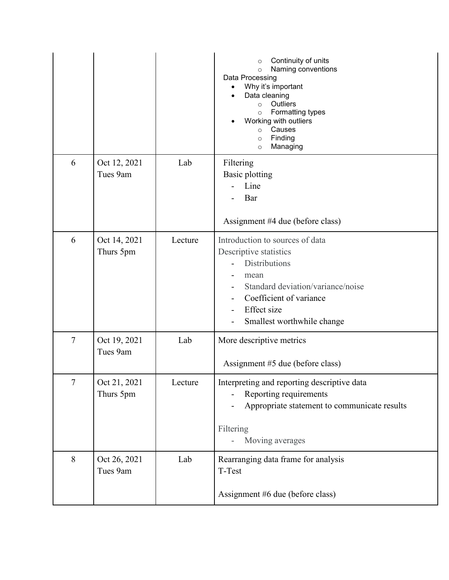|                |                           |         | Continuity of units<br>$\circ$<br>Naming conventions<br>$\circ$<br>Data Processing<br>Why it's important<br>Data cleaning<br>$\bullet$<br>Outliers<br>$\circ$<br>Formatting types<br>$\circ$<br>Working with outliers<br>Causes<br>$\circ$<br>Finding<br>$\circ$<br>Managing<br>$\circ$ |
|----------------|---------------------------|---------|-----------------------------------------------------------------------------------------------------------------------------------------------------------------------------------------------------------------------------------------------------------------------------------------|
| 6              | Oct 12, 2021<br>Tues 9am  | Lab     | Filtering<br><b>Basic plotting</b><br>Line<br>Bar<br>Assignment #4 due (before class)                                                                                                                                                                                                   |
| 6              | Oct 14, 2021<br>Thurs 5pm | Lecture | Introduction to sources of data<br>Descriptive statistics<br><b>Distributions</b><br>mean<br>Standard deviation/variance/noise<br>Coefficient of variance<br>Effect size<br>Smallest worthwhile change                                                                                  |
| $\overline{7}$ | Oct 19, 2021<br>Tues 9am  | Lab     | More descriptive metrics<br>Assignment #5 due (before class)                                                                                                                                                                                                                            |
| $\tau$         | Oct 21, 2021<br>Thurs 5pm | Lecture | Interpreting and reporting descriptive data<br>Reporting requirements<br>Appropriate statement to communicate results<br>Filtering<br>Moving averages                                                                                                                                   |
| 8              | Oct 26, 2021<br>Tues 9am  | Lab     | Rearranging data frame for analysis<br>T-Test<br>Assignment #6 due (before class)                                                                                                                                                                                                       |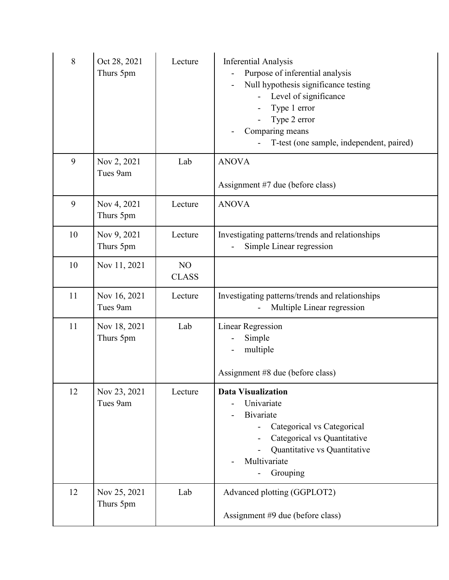| 8  | Oct 28, 2021<br>Thurs 5pm | Lecture            | <b>Inferential Analysis</b><br>Purpose of inferential analysis<br>Null hypothesis significance testing<br>Level of significance<br>Type 1 error<br>Type 2 error<br>Comparing means<br>T-test (one sample, independent, paired) |
|----|---------------------------|--------------------|--------------------------------------------------------------------------------------------------------------------------------------------------------------------------------------------------------------------------------|
| 9  | Nov 2, 2021<br>Tues 9am   | Lab                | <b>ANOVA</b><br>Assignment #7 due (before class)                                                                                                                                                                               |
| 9  | Nov 4, 2021<br>Thurs 5pm  | Lecture            | <b>ANOVA</b>                                                                                                                                                                                                                   |
| 10 | Nov 9, 2021<br>Thurs 5pm  | Lecture            | Investigating patterns/trends and relationships<br>Simple Linear regression                                                                                                                                                    |
| 10 | Nov 11, 2021              | NO<br><b>CLASS</b> |                                                                                                                                                                                                                                |
| 11 | Nov 16, 2021<br>Tues 9am  | Lecture            | Investigating patterns/trends and relationships<br>Multiple Linear regression                                                                                                                                                  |
| 11 | Nov 18, 2021<br>Thurs 5pm | Lab                | <b>Linear Regression</b><br>Simple<br>multiple<br>Assignment #8 due (before class)                                                                                                                                             |
| 12 | Nov 23, 2021<br>Tues 9am  | Lecture            | <b>Data Visualization</b><br>Univariate<br><b>Bivariate</b><br>Categorical vs Categorical<br>Categorical vs Quantitative<br>Quantitative vs Quantitative<br>Multivariate<br>Grouping                                           |
| 12 | Nov 25, 2021<br>Thurs 5pm | Lab                | Advanced plotting (GGPLOT2)<br>Assignment #9 due (before class)                                                                                                                                                                |